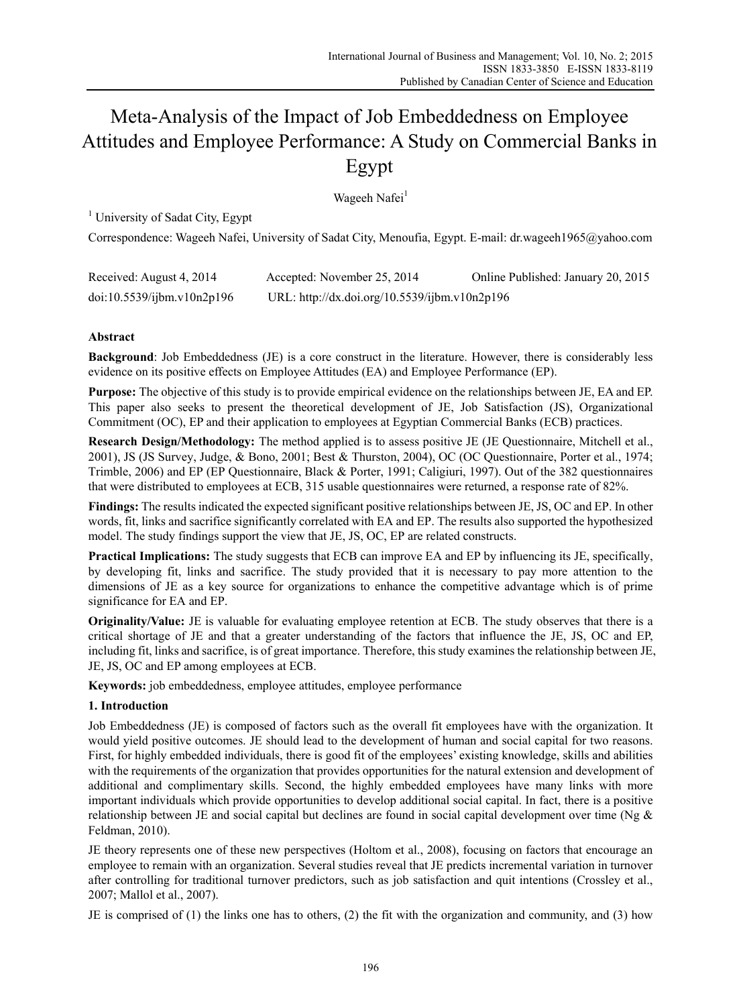# Meta-Analysis of the Impact of Job Embeddedness on Employee Attitudes and Employee Performance: A Study on Commercial Banks in Egypt

Wageeh Nafei<sup>1</sup>

<sup>1</sup> University of Sadat City, Egypt

Correspondence: Wageeh Nafei, University of Sadat City, Menoufia, Egypt. E-mail: dr.wageeh1965@yahoo.com

| Received: August 4, 2014   | Accepted: November 25, 2014                   | Online Published: January 20, 2015 |
|----------------------------|-----------------------------------------------|------------------------------------|
| doi:10.5539/ijbm.v10n2p196 | URL: http://dx.doi.org/10.5539/ijbm.v10n2p196 |                                    |

# **Abstract**

**Background**: Job Embeddedness (JE) is a core construct in the literature. However, there is considerably less evidence on its positive effects on Employee Attitudes (EA) and Employee Performance (EP).

**Purpose:** The objective of this study is to provide empirical evidence on the relationships between JE, EA and EP. This paper also seeks to present the theoretical development of JE, Job Satisfaction (JS), Organizational Commitment (OC), EP and their application to employees at Egyptian Commercial Banks (ECB) practices.

**Research Design/Methodology:** The method applied is to assess positive JE (JE Questionnaire, Mitchell et al., 2001), JS (JS Survey, Judge, & Bono, 2001; Best & Thurston, 2004), OC (OC Questionnaire, Porter et al., 1974; Trimble, 2006) and EP (EP Questionnaire, Black & Porter, 1991; Caligiuri, 1997). Out of the 382 questionnaires that were distributed to employees at ECB, 315 usable questionnaires were returned, a response rate of 82%.

**Findings:** The results indicated the expected significant positive relationships between JE, JS, OC and EP. In other words, fit, links and sacrifice significantly correlated with EA and EP. The results also supported the hypothesized model. The study findings support the view that JE, JS, OC, EP are related constructs.

**Practical Implications:** The study suggests that ECB can improve EA and EP by influencing its JE, specifically, by developing fit, links and sacrifice. The study provided that it is necessary to pay more attention to the dimensions of JE as a key source for organizations to enhance the competitive advantage which is of prime significance for EA and EP.

**Originality/Value:** JE is valuable for evaluating employee retention at ECB. The study observes that there is a critical shortage of JE and that a greater understanding of the factors that influence the JE, JS, OC and EP, including fit, links and sacrifice, is of great importance. Therefore, this study examines the relationship between JE, JE, JS, OC and EP among employees at ECB.

**Keywords:** job embeddedness, employee attitudes, employee performance

# **1. Introduction**

Job Embeddedness (JE) is composed of factors such as the overall fit employees have with the organization. It would yield positive outcomes. JE should lead to the development of human and social capital for two reasons. First, for highly embedded individuals, there is good fit of the employees' existing knowledge, skills and abilities with the requirements of the organization that provides opportunities for the natural extension and development of additional and complimentary skills. Second, the highly embedded employees have many links with more important individuals which provide opportunities to develop additional social capital. In fact, there is a positive relationship between JE and social capital but declines are found in social capital development over time (Ng & Feldman, 2010).

JE theory represents one of these new perspectives (Holtom et al., 2008), focusing on factors that encourage an employee to remain with an organization. Several studies reveal that JE predicts incremental variation in turnover after controlling for traditional turnover predictors, such as job satisfaction and quit intentions (Crossley et al., 2007; Mallol et al., 2007).

JE is comprised of (1) the links one has to others, (2) the fit with the organization and community, and (3) how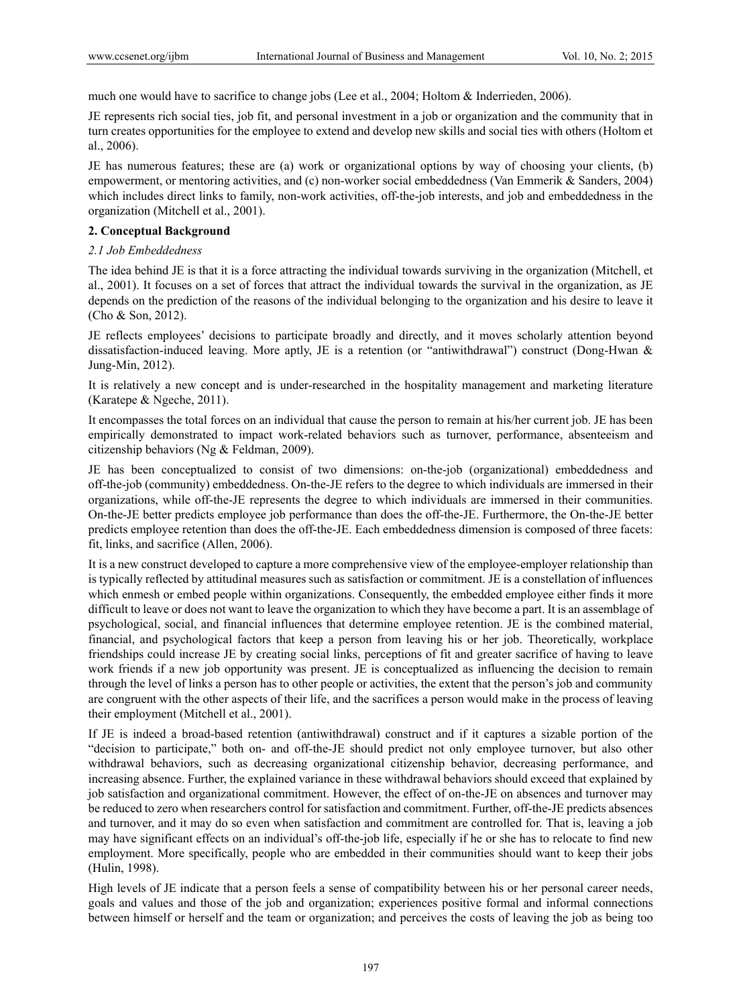much one would have to sacrifice to change jobs (Lee et al., 2004; Holtom & Inderrieden, 2006).

JE represents rich social ties, job fit, and personal investment in a job or organization and the community that in turn creates opportunities for the employee to extend and develop new skills and social ties with others (Holtom et al., 2006).

JE has numerous features; these are (a) work or organizational options by way of choosing your clients, (b) empowerment, or mentoring activities, and (c) non-worker social embeddedness (Van Emmerik & Sanders, 2004) which includes direct links to family, non-work activities, off-the-job interests, and job and embeddedness in the organization (Mitchell et al., 2001).

#### **2. Conceptual Background**

#### *2.1 Job Embeddedness*

The idea behind JE is that it is a force attracting the individual towards surviving in the organization (Mitchell, et al., 2001). It focuses on a set of forces that attract the individual towards the survival in the organization, as JE depends on the prediction of the reasons of the individual belonging to the organization and his desire to leave it (Cho & Son, 2012).

JE reflects employees' decisions to participate broadly and directly, and it moves scholarly attention beyond dissatisfaction-induced leaving. More aptly, JE is a retention (or "antiwithdrawal") construct (Dong-Hwan & Jung-Min, 2012).

It is relatively a new concept and is under-researched in the hospitality management and marketing literature (Karatepe & Ngeche, 2011).

It encompasses the total forces on an individual that cause the person to remain at his/her current job. JE has been empirically demonstrated to impact work-related behaviors such as turnover, performance, absenteeism and citizenship behaviors (Ng & Feldman, 2009).

JE has been conceptualized to consist of two dimensions: on-the-job (organizational) embeddedness and off-the-job (community) embeddedness. On-the-JE refers to the degree to which individuals are immersed in their organizations, while off-the-JE represents the degree to which individuals are immersed in their communities. On-the-JE better predicts employee job performance than does the off-the-JE. Furthermore, the On-the-JE better predicts employee retention than does the off-the-JE. Each embeddedness dimension is composed of three facets: fit, links, and sacrifice (Allen, 2006).

It is a new construct developed to capture a more comprehensive view of the employee-employer relationship than is typically reflected by attitudinal measures such as satisfaction or commitment. JE is a constellation of influences which enmesh or embed people within organizations. Consequently, the embedded employee either finds it more difficult to leave or does not want to leave the organization to which they have become a part. It is an assemblage of psychological, social, and financial influences that determine employee retention. JE is the combined material, financial, and psychological factors that keep a person from leaving his or her job. Theoretically, workplace friendships could increase JE by creating social links, perceptions of fit and greater sacrifice of having to leave work friends if a new job opportunity was present. JE is conceptualized as influencing the decision to remain through the level of links a person has to other people or activities, the extent that the person's job and community are congruent with the other aspects of their life, and the sacrifices a person would make in the process of leaving their employment (Mitchell et al., 2001).

If JE is indeed a broad-based retention (antiwithdrawal) construct and if it captures a sizable portion of the "decision to participate," both on- and off-the-JE should predict not only employee turnover, but also other withdrawal behaviors, such as decreasing organizational citizenship behavior, decreasing performance, and increasing absence. Further, the explained variance in these withdrawal behaviors should exceed that explained by job satisfaction and organizational commitment. However, the effect of on-the-JE on absences and turnover may be reduced to zero when researchers control for satisfaction and commitment. Further, off-the-JE predicts absences and turnover, and it may do so even when satisfaction and commitment are controlled for. That is, leaving a job may have significant effects on an individual's off-the-job life, especially if he or she has to relocate to find new employment. More specifically, people who are embedded in their communities should want to keep their jobs (Hulin, 1998).

High levels of JE indicate that a person feels a sense of compatibility between his or her personal career needs, goals and values and those of the job and organization; experiences positive formal and informal connections between himself or herself and the team or organization; and perceives the costs of leaving the job as being too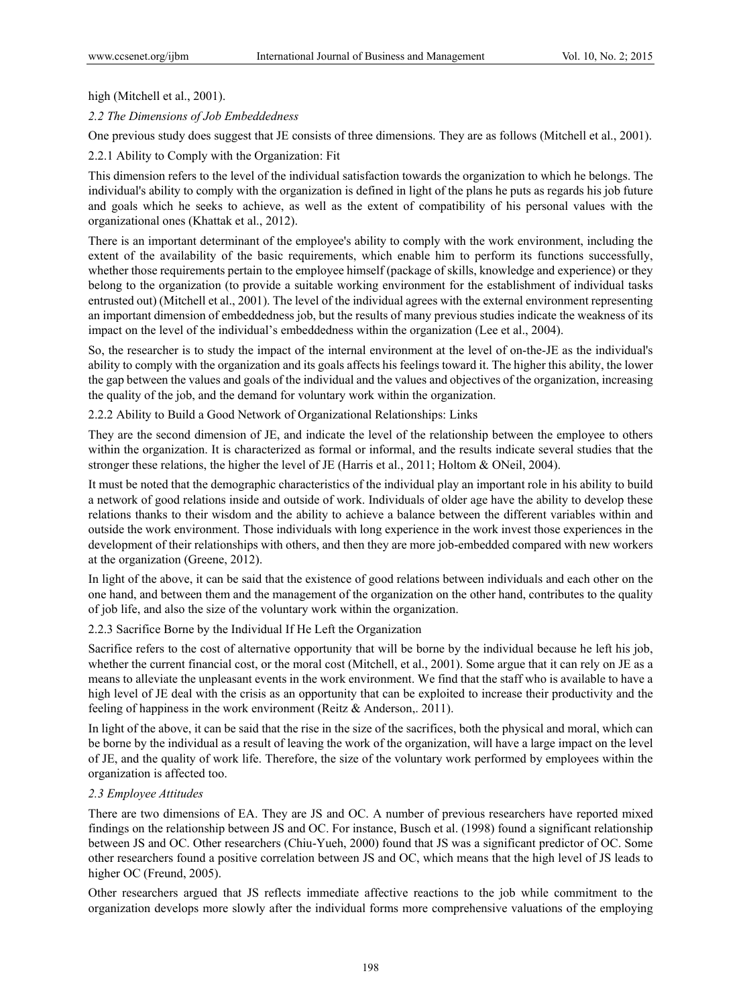#### high (Mitchell et al., 2001).

*2.2 The Dimensions of Job Embeddedness* 

One previous study does suggest that JE consists of three dimensions. They are as follows (Mitchell et al., 2001).

2.2.1 Ability to Comply with the Organization: Fit

This dimension refers to the level of the individual satisfaction towards the organization to which he belongs. The individual's ability to comply with the organization is defined in light of the plans he puts as regards his job future and goals which he seeks to achieve, as well as the extent of compatibility of his personal values with the organizational ones (Khattak et al., 2012).

There is an important determinant of the employee's ability to comply with the work environment, including the extent of the availability of the basic requirements, which enable him to perform its functions successfully, whether those requirements pertain to the employee himself (package of skills, knowledge and experience) or they belong to the organization (to provide a suitable working environment for the establishment of individual tasks entrusted out) (Mitchell et al., 2001). The level of the individual agrees with the external environment representing an important dimension of embeddedness job, but the results of many previous studies indicate the weakness of its impact on the level of the individual's embeddedness within the organization (Lee et al., 2004).

So, the researcher is to study the impact of the internal environment at the level of on-the-JE as the individual's ability to comply with the organization and its goals affects his feelings toward it. The higher this ability, the lower the gap between the values and goals of the individual and the values and objectives of the organization, increasing the quality of the job, and the demand for voluntary work within the organization.

2.2.2 Ability to Build a Good Network of Organizational Relationships: Links

They are the second dimension of JE, and indicate the level of the relationship between the employee to others within the organization. It is characterized as formal or informal, and the results indicate several studies that the stronger these relations, the higher the level of JE (Harris et al., 2011; Holtom & ONeil, 2004).

It must be noted that the demographic characteristics of the individual play an important role in his ability to build a network of good relations inside and outside of work. Individuals of older age have the ability to develop these relations thanks to their wisdom and the ability to achieve a balance between the different variables within and outside the work environment. Those individuals with long experience in the work invest those experiences in the development of their relationships with others, and then they are more job-embedded compared with new workers at the organization (Greene, 2012).

In light of the above, it can be said that the existence of good relations between individuals and each other on the one hand, and between them and the management of the organization on the other hand, contributes to the quality of job life, and also the size of the voluntary work within the organization.

#### 2.2.3 Sacrifice Borne by the Individual If He Left the Organization

Sacrifice refers to the cost of alternative opportunity that will be borne by the individual because he left his job, whether the current financial cost, or the moral cost (Mitchell, et al., 2001). Some argue that it can rely on JE as a means to alleviate the unpleasant events in the work environment. We find that the staff who is available to have a high level of JE deal with the crisis as an opportunity that can be exploited to increase their productivity and the feeling of happiness in the work environment (Reitz & Anderson,. 2011).

In light of the above, it can be said that the rise in the size of the sacrifices, both the physical and moral, which can be borne by the individual as a result of leaving the work of the organization, will have a large impact on the level of JE, and the quality of work life. Therefore, the size of the voluntary work performed by employees within the organization is affected too.

#### *2.3 Employee Attitudes*

There are two dimensions of EA. They are JS and OC. A number of previous researchers have reported mixed findings on the relationship between JS and OC. For instance, Busch et al. (1998) found a significant relationship between JS and OC. Other researchers (Chiu-Yueh, 2000) found that JS was a significant predictor of OC. Some other researchers found a positive correlation between JS and OC, which means that the high level of JS leads to higher OC (Freund, 2005).

Other researchers argued that JS reflects immediate affective reactions to the job while commitment to the organization develops more slowly after the individual forms more comprehensive valuations of the employing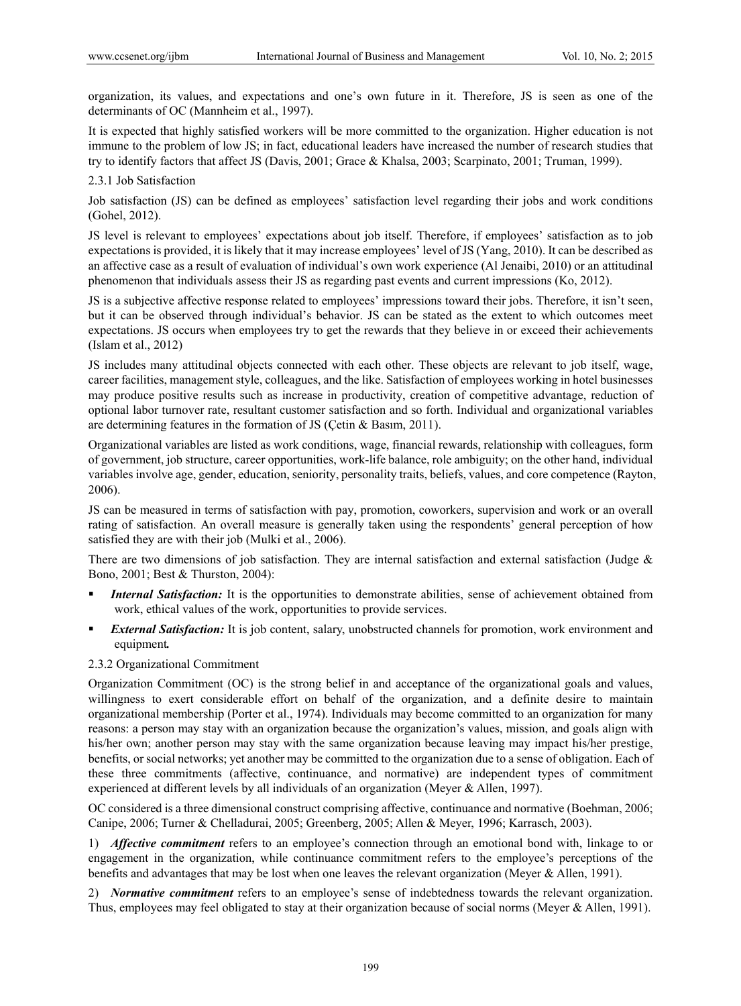organization, its values, and expectations and one's own future in it. Therefore, JS is seen as one of the determinants of OC (Mannheim et al., 1997).

It is expected that highly satisfied workers will be more committed to the organization. Higher education is not immune to the problem of low JS; in fact, educational leaders have increased the number of research studies that try to identify factors that affect JS (Davis, 2001; Grace & Khalsa, 2003; Scarpinato, 2001; Truman, 1999).

#### 2.3.1 Job Satisfaction

Job satisfaction (JS) can be defined as employees' satisfaction level regarding their jobs and work conditions (Gohel, 2012).

JS level is relevant to employees' expectations about job itself. Therefore, if employees' satisfaction as to job expectations is provided, it is likely that it may increase employees' level of JS (Yang, 2010). It can be described as an affective case as a result of evaluation of individual's own work experience (Al Jenaibi, 2010) or an attitudinal phenomenon that individuals assess their JS as regarding past events and current impressions (Ko, 2012).

JS is a subjective affective response related to employees' impressions toward their jobs. Therefore, it isn't seen, but it can be observed through individual's behavior. JS can be stated as the extent to which outcomes meet expectations. JS occurs when employees try to get the rewards that they believe in or exceed their achievements (Islam et al., 2012)

JS includes many attitudinal objects connected with each other. These objects are relevant to job itself, wage, career facilities, management style, colleagues, and the like. Satisfaction of employees working in hotel businesses may produce positive results such as increase in productivity, creation of competitive advantage, reduction of optional labor turnover rate, resultant customer satisfaction and so forth. Individual and organizational variables are determining features in the formation of JS (Çetin & Basım, 2011).

Organizational variables are listed as work conditions, wage, financial rewards, relationship with colleagues, form of government, job structure, career opportunities, work-life balance, role ambiguity; on the other hand, individual variables involve age, gender, education, seniority, personality traits, beliefs, values, and core competence (Rayton, 2006).

JS can be measured in terms of satisfaction with pay, promotion, coworkers, supervision and work or an overall rating of satisfaction. An overall measure is generally taken using the respondents' general perception of how satisfied they are with their job (Mulki et al., 2006).

There are two dimensions of job satisfaction. They are internal satisfaction and external satisfaction (Judge  $\&$ Bono, 2001; Best & Thurston, 2004):

- *Internal Satisfaction:* It is the opportunities to demonstrate abilities, sense of achievement obtained from work, ethical values of the work, opportunities to provide services.
- *External Satisfaction:* It is job content, salary, unobstructed channels for promotion, work environment and equipment*.*

#### 2.3.2 Organizational Commitment

Organization Commitment (OC) is the strong belief in and acceptance of the organizational goals and values, willingness to exert considerable effort on behalf of the organization, and a definite desire to maintain organizational membership (Porter et al., 1974). Individuals may become committed to an organization for many reasons: a person may stay with an organization because the organization's values, mission, and goals align with his/her own; another person may stay with the same organization because leaving may impact his/her prestige, benefits, or social networks; yet another may be committed to the organization due to a sense of obligation. Each of these three commitments (affective, continuance, and normative) are independent types of commitment experienced at different levels by all individuals of an organization (Meyer & Allen, 1997).

OC considered is a three dimensional construct comprising affective, continuance and normative (Boehman, 2006; Canipe, 2006; Turner & Chelladurai, 2005; Greenberg, 2005; Allen & Meyer, 1996; Karrasch, 2003).

1) *Affective commitment* refers to an employee's connection through an emotional bond with, linkage to or engagement in the organization, while continuance commitment refers to the employee's perceptions of the benefits and advantages that may be lost when one leaves the relevant organization (Meyer & Allen, 1991).

2) *Normative commitment* refers to an employee's sense of indebtedness towards the relevant organization. Thus, employees may feel obligated to stay at their organization because of social norms (Meyer & Allen, 1991).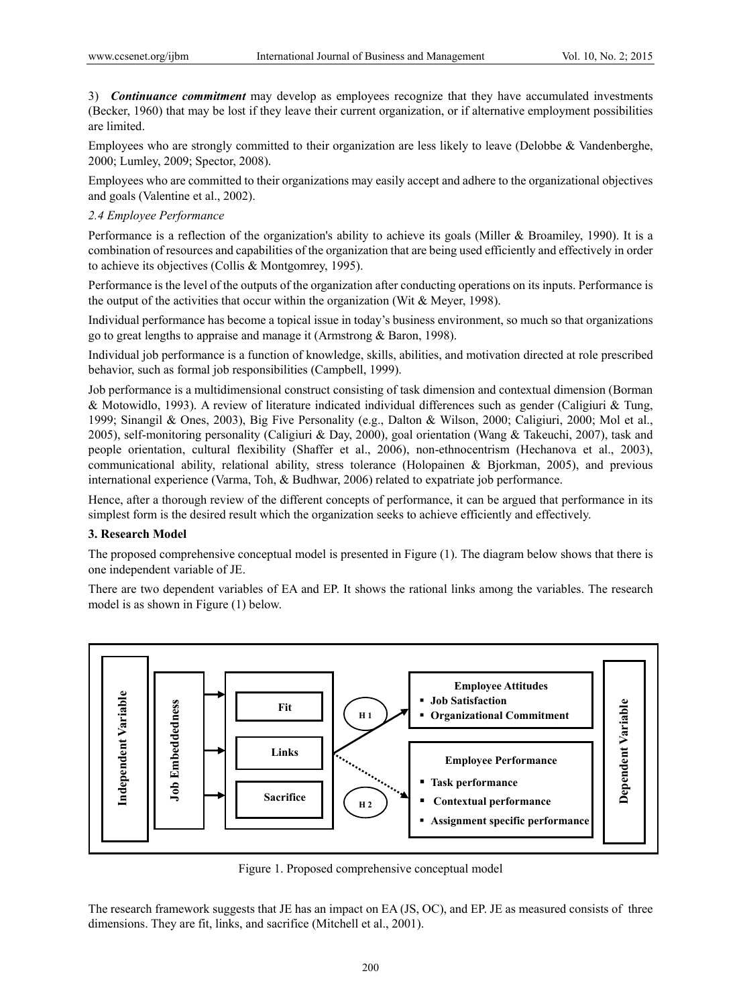3) *Continuance commitment* may develop as employees recognize that they have accumulated investments (Becker, 1960) that may be lost if they leave their current organization, or if alternative employment possibilities are limited.

Employees who are strongly committed to their organization are less likely to leave (Delobbe & Vandenberghe, 2000; Lumley, 2009; Spector, 2008).

Employees who are committed to their organizations may easily accept and adhere to the organizational objectives and goals (Valentine et al., 2002).

#### *2.4 Employee Performance*

Performance is a reflection of the organization's ability to achieve its goals (Miller & Broamiley, 1990). It is a combination of resources and capabilities of the organization that are being used efficiently and effectively in order to achieve its objectives (Collis & Montgomrey, 1995).

Performance is the level of the outputs of the organization after conducting operations on its inputs. Performance is the output of the activities that occur within the organization (Wit & Meyer, 1998).

Individual performance has become a topical issue in today's business environment, so much so that organizations go to great lengths to appraise and manage it (Armstrong & Baron, 1998).

Individual job performance is a function of knowledge, skills, abilities, and motivation directed at role prescribed behavior, such as formal job responsibilities (Campbell, 1999).

Job performance is a multidimensional construct consisting of task dimension and contextual dimension (Borman & Motowidlo, 1993). A review of literature indicated individual differences such as gender (Caligiuri & Tung, 1999; Sinangil & Ones, 2003), Big Five Personality (e.g., Dalton & Wilson, 2000; Caligiuri, 2000; Mol et al., 2005), self-monitoring personality (Caligiuri & Day, 2000), goal orientation (Wang & Takeuchi, 2007), task and people orientation, cultural flexibility (Shaffer et al., 2006), non-ethnocentrism (Hechanova et al., 2003), communicational ability, relational ability, stress tolerance (Holopainen & Bjorkman, 2005), and previous international experience (Varma, Toh, & Budhwar, 2006) related to expatriate job performance.

Hence, after a thorough review of the different concepts of performance, it can be argued that performance in its simplest form is the desired result which the organization seeks to achieve efficiently and effectively.

#### **3. Research Model**

The proposed comprehensive conceptual model is presented in Figure (1). The diagram below shows that there is one independent variable of JE.

There are two dependent variables of EA and EP. It shows the rational links among the variables. The research model is as shown in Figure (1) below.



Figure 1. Proposed comprehensive conceptual model

The research framework suggests that JE has an impact on EA (JS, OC), and EP. JE as measured consists of three dimensions. They are fit, links, and sacrifice (Mitchell et al., 2001).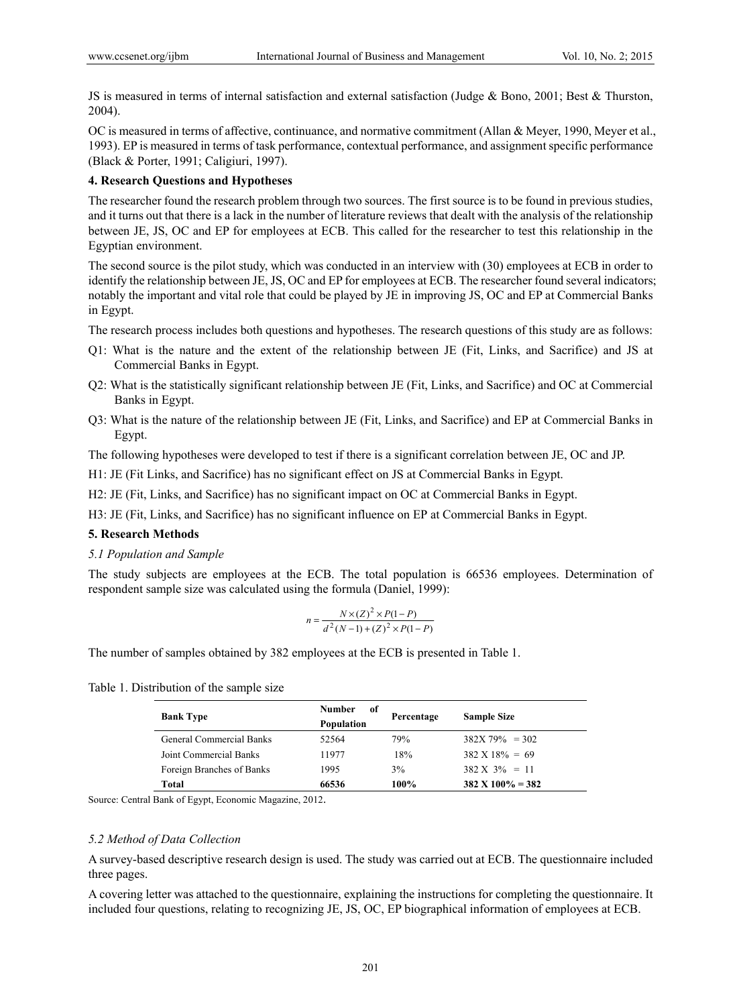JS is measured in terms of internal satisfaction and external satisfaction (Judge & Bono, 2001; Best & Thurston, 2004).

OC is measured in terms of affective, continuance, and normative commitment (Allan & Meyer, 1990, Meyer et al., 1993). EP is measured in terms of task performance, contextual performance, and assignment specific performance (Black & Porter, 1991; Caligiuri, 1997).

#### **4. Research Questions and Hypotheses**

The researcher found the research problem through two sources. The first source is to be found in previous studies, and it turns out that there is a lack in the number of literature reviews that dealt with the analysis of the relationship between JE, JS, OC and EP for employees at ECB. This called for the researcher to test this relationship in the Egyptian environment.

The second source is the pilot study, which was conducted in an interview with (30) employees at ECB in order to identify the relationship between JE, JS, OC and EP for employees at ECB. The researcher found several indicators; notably the important and vital role that could be played by JE in improving JS, OC and EP at Commercial Banks in Egypt.

The research process includes both questions and hypotheses. The research questions of this study are as follows:

- Q1: What is the nature and the extent of the relationship between JE (Fit, Links, and Sacrifice) and JS at Commercial Banks in Egypt.
- Q2: What is the statistically significant relationship between JE (Fit, Links, and Sacrifice) and OC at Commercial Banks in Egypt.
- Q3: What is the nature of the relationship between JE (Fit, Links, and Sacrifice) and EP at Commercial Banks in Egypt.

The following hypotheses were developed to test if there is a significant correlation between JE, OC and JP.

H1: JE (Fit Links, and Sacrifice) has no significant effect on JS at Commercial Banks in Egypt.

H2: JE (Fit, Links, and Sacrifice) has no significant impact on OC at Commercial Banks in Egypt.

H3: JE (Fit, Links, and Sacrifice) has no significant influence on EP at Commercial Banks in Egypt.

# **5. Research Methods**

#### *5.1 Population and Sample*

The study subjects are employees at the ECB. The total population is 66536 employees. Determination of respondent sample size was calculated using the formula (Daniel, 1999):

$$
n = \frac{N \times (Z)^{2} \times P(1 - P)}{d^{2}(N - 1) + (Z)^{2} \times P(1 - P)}
$$

The number of samples obtained by 382 employees at the ECB is presented in Table 1.

Table 1. Distribution of the sample size

| <b>Bank Type</b>          | <b>Number</b><br>of<br><b>Population</b> | Percentage | <b>Sample Size</b>           |
|---------------------------|------------------------------------------|------------|------------------------------|
| General Commercial Banks  | 52564                                    | 79%        | $382X79\% = 302$             |
| Joint Commercial Banks    | 11977                                    | 18%        | $382 \text{ X} 18\% = 69$    |
| Foreign Branches of Banks | 1995                                     | 3%         | $382 \text{ X } 3\% = 11$    |
| Total                     | 66536                                    | 100%       | $382 \text{ X } 100\% = 382$ |

Source: Central Bank of Egypt, Economic Magazine, 2012.

#### *5.2 Method of Data Collection*

A survey-based descriptive research design is used. The study was carried out at ECB. The questionnaire included three pages.

A covering letter was attached to the questionnaire, explaining the instructions for completing the questionnaire. It included four questions, relating to recognizing JE, JS, OC, EP biographical information of employees at ECB.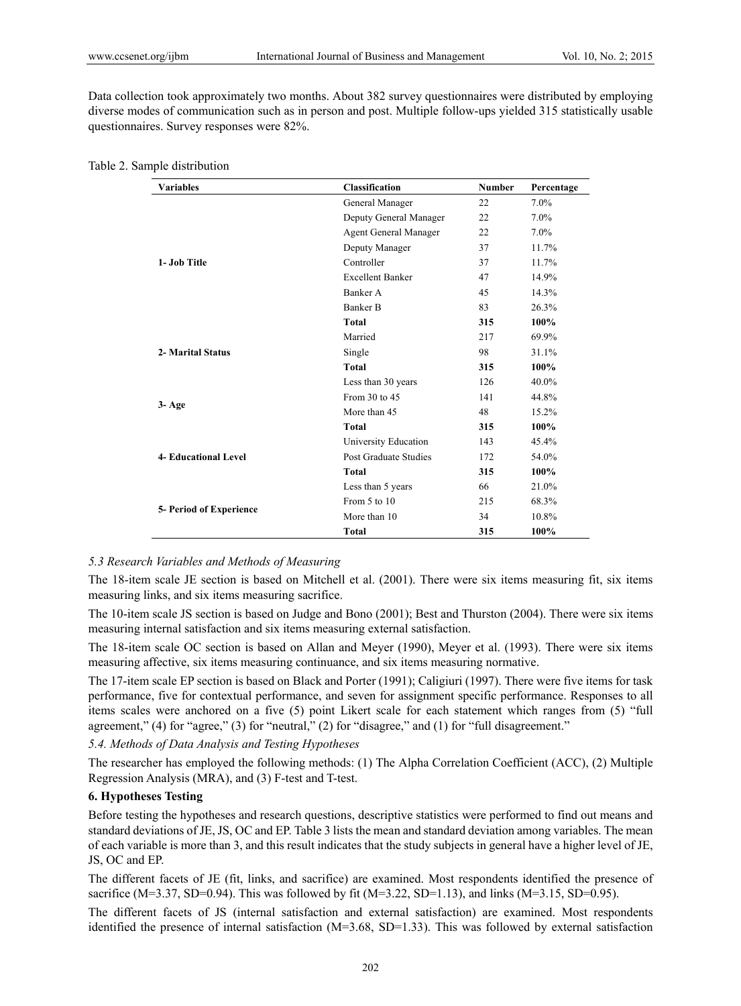Data collection took approximately two months. About 382 survey questionnaires were distributed by employing diverse modes of communication such as in person and post. Multiple follow-ups yielded 315 statistically usable questionnaires. Survey responses were 82%.

| <b>Variables</b>            | Classification          | <b>Number</b> | Percentage |
|-----------------------------|-------------------------|---------------|------------|
|                             | General Manager         | 22            | $7.0\%$    |
|                             | Deputy General Manager  | 22            | $7.0\%$    |
|                             | Agent General Manager   | 22            | $7.0\%$    |
|                             | Deputy Manager          | 37            | 11.7%      |
| 1- Job Title                | Controller              | 37            | 11.7%      |
|                             | <b>Excellent Banker</b> | 47            | 14.9%      |
|                             | Banker A                | 45            | 14.3%      |
|                             | Banker B                | 83            | 26.3%      |
|                             | <b>Total</b>            | 315           | 100%       |
|                             | Married                 | 217           | 69.9%      |
| 2- Marital Status           | Single                  | 98            | 31.1%      |
|                             | <b>Total</b>            | 315           | 100%       |
|                             | Less than 30 years      | 126           | 40.0%      |
|                             | From 30 to 45           | 141           | 44.8%      |
| $3 - Age$                   | More than 45            | 48            | 15.2%      |
|                             | <b>Total</b>            | 315           | 100%       |
|                             | University Education    | 143           | 45.4%      |
| <b>4- Educational Level</b> | Post Graduate Studies   | 172           | 54.0%      |
|                             | Total                   | 315           | 100%       |
|                             | Less than 5 years       | 66            | 21.0%      |
|                             | From 5 to 10            | 215           | 68.3%      |
| 5- Period of Experience     | More than 10            | 34            | 10.8%      |
|                             | <b>Total</b>            | 315           | 100%       |

Table 2. Sample distribution

# *5.3 Research Variables and Methods of Measuring*

The 18-item scale JE section is based on Mitchell et al. (2001). There were six items measuring fit, six items measuring links, and six items measuring sacrifice.

The 10-item scale JS section is based on Judge and Bono (2001); Best and Thurston (2004). There were six items measuring internal satisfaction and six items measuring external satisfaction.

The 18-item scale OC section is based on Allan and Meyer (1990), Meyer et al. (1993). There were six items measuring affective, six items measuring continuance, and six items measuring normative.

The 17-item scale EP section is based on Black and Porter (1991); Caligiuri (1997). There were five items for task performance, five for contextual performance, and seven for assignment specific performance. Responses to all items scales were anchored on a five (5) point Likert scale for each statement which ranges from (5) "full agreement," (4) for "agree," (3) for "neutral," (2) for "disagree," and (1) for "full disagreement."

#### *5.4. Methods of Data Analysis and Testing Hypotheses*

The researcher has employed the following methods: (1) The Alpha Correlation Coefficient (ACC), (2) Multiple Regression Analysis (MRA), and (3) F-test and T-test.

#### **6. Hypotheses Testing**

Before testing the hypotheses and research questions, descriptive statistics were performed to find out means and standard deviations of JE, JS, OC and EP. Table 3 lists the mean and standard deviation among variables. The mean of each variable is more than 3, and this result indicates that the study subjects in general have a higher level of JE, JS, OC and EP.

The different facets of JE (fit, links, and sacrifice) are examined. Most respondents identified the presence of sacrifice (M=3.37, SD=0.94). This was followed by fit (M=3.22, SD=1.13), and links (M=3.15, SD=0.95).

The different facets of JS (internal satisfaction and external satisfaction) are examined. Most respondents identified the presence of internal satisfaction  $(M=3.68, SD=1.33)$ . This was followed by external satisfaction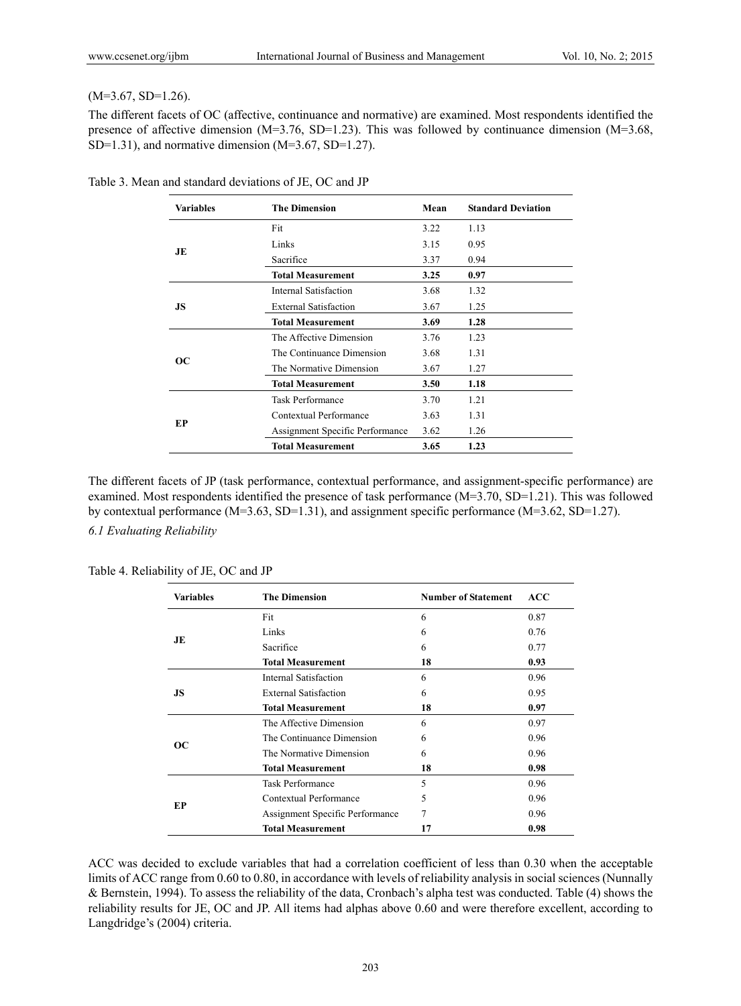#### $(M=3.67, SD=1.26)$ .

The different facets of OC (affective, continuance and normative) are examined. Most respondents identified the presence of affective dimension (M=3.76, SD=1.23). This was followed by continuance dimension (M=3.68, SD=1.31), and normative dimension (M=3.67, SD=1.27).

| <b>Variables</b> | <b>The Dimension</b>            | Mean | <b>Standard Deviation</b> |
|------------------|---------------------------------|------|---------------------------|
|                  | Fit                             | 3.22 | 1.13                      |
| JE               | Links                           | 3.15 | 0.95                      |
|                  | Sacrifice                       | 3.37 | 0.94                      |
|                  | <b>Total Measurement</b>        | 3.25 | 0.97                      |
|                  | Internal Satisfaction           | 3.68 | 1.32                      |
| JS               | <b>External Satisfaction</b>    | 3.67 | 1.25                      |
|                  | <b>Total Measurement</b>        | 3.69 | 1.28                      |
|                  | The Affective Dimension         | 3.76 | 1.23                      |
| OC.              | The Continuance Dimension       | 3.68 | 1.31                      |
|                  | The Normative Dimension         | 3.67 | 1.27                      |
|                  | <b>Total Measurement</b>        | 3.50 | 1.18                      |
|                  | Task Performance                | 3.70 | 1.21                      |
| EP               | Contextual Performance          | 3.63 | 1.31                      |
|                  | Assignment Specific Performance | 3.62 | 1.26                      |
|                  | <b>Total Measurement</b>        | 3.65 | 1.23                      |

Table 3. Mean and standard deviations of JE, OC and JP

The different facets of JP (task performance, contextual performance, and assignment-specific performance) are examined. Most respondents identified the presence of task performance (M=3.70, SD=1.21). This was followed by contextual performance (M=3.63, SD=1.31), and assignment specific performance (M=3.62, SD=1.27). *6.1 Evaluating Reliability* 

| <b>Variables</b> | <b>The Dimension</b>            | <b>Number of Statement</b> | <b>ACC</b> |
|------------------|---------------------------------|----------------------------|------------|
|                  | Fit                             | 6                          | 0.87       |
|                  | Links                           | 6                          | 0.76       |
| JE               | Sacrifice                       | 6                          | 0.77       |
|                  | <b>Total Measurement</b>        | 18                         | 0.93       |
|                  | Internal Satisfaction           | 6                          | 0.96       |
| JS               | <b>External Satisfaction</b>    | 6                          | 0.95       |
|                  | <b>Total Measurement</b>        | 18                         | 0.97       |
|                  | The Affective Dimension         | 6                          | 0.97       |
|                  | The Continuance Dimension       | 6                          | 0.96       |
| OС               | The Normative Dimension         | 6                          | 0.96       |
|                  | <b>Total Measurement</b>        | 18                         | 0.98       |
|                  | Task Performance                | 5                          | 0.96       |
|                  | Contextual Performance          | 5                          | 0.96       |
| EP               | Assignment Specific Performance | 7                          | 0.96       |
|                  | <b>Total Measurement</b>        | 17                         | 0.98       |

Table 4. Reliability of JE, OC and JP

ACC was decided to exclude variables that had a correlation coefficient of less than 0.30 when the acceptable limits of ACC range from 0.60 to 0.80, in accordance with levels of reliability analysis in social sciences (Nunnally & Bernstein, 1994). To assess the reliability of the data, Cronbach's alpha test was conducted. Table (4) shows the reliability results for JE, OC and JP. All items had alphas above 0.60 and were therefore excellent, according to Langdridge's (2004) criteria.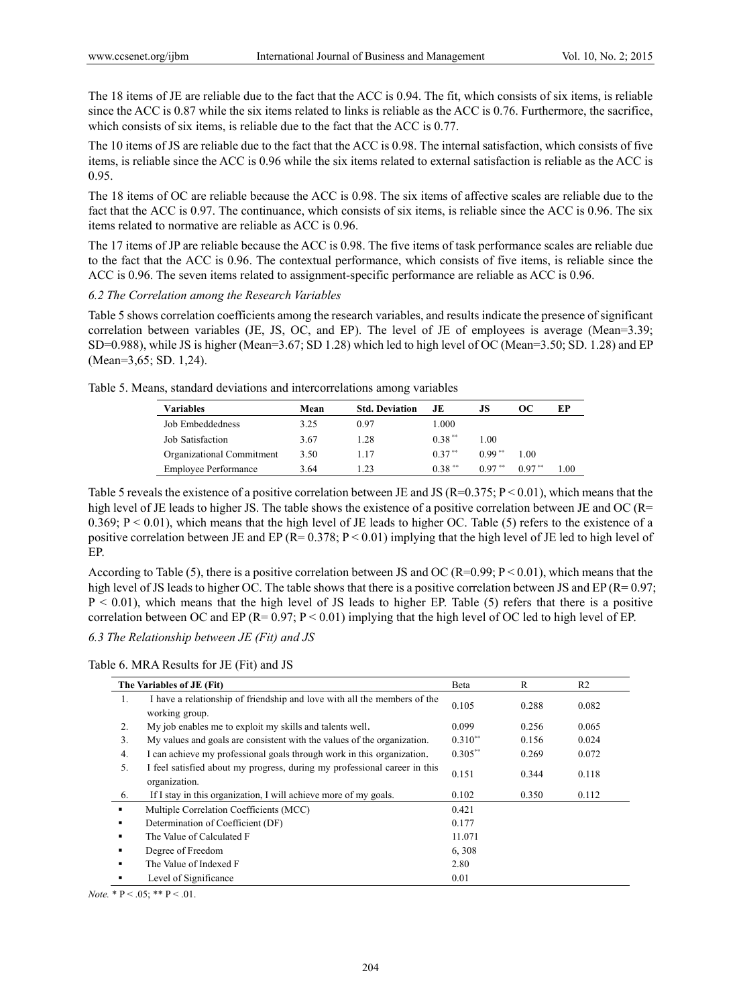The 18 items of JE are reliable due to the fact that the ACC is 0.94. The fit, which consists of six items, is reliable since the ACC is 0.87 while the six items related to links is reliable as the ACC is 0.76. Furthermore, the sacrifice, which consists of six items, is reliable due to the fact that the ACC is 0.77.

The 10 items of JS are reliable due to the fact that the ACC is 0.98. The internal satisfaction, which consists of five items, is reliable since the ACC is 0.96 while the six items related to external satisfaction is reliable as the ACC is 0.95.

The 18 items of OC are reliable because the ACC is 0.98. The six items of affective scales are reliable due to the fact that the ACC is 0.97. The continuance, which consists of six items, is reliable since the ACC is 0.96. The six items related to normative are reliable as ACC is 0.96.

The 17 items of JP are reliable because the ACC is 0.98. The five items of task performance scales are reliable due to the fact that the ACC is 0.96. The contextual performance, which consists of five items, is reliable since the ACC is 0.96. The seven items related to assignment-specific performance are reliable as ACC is 0.96.

*6.2 The Correlation among the Research Variables* 

Table 5 shows correlation coefficients among the research variables, and results indicate the presence of significant correlation between variables (JE, JS, OC, and EP). The level of JE of employees is average (Mean=3.39; SD=0.988), while JS is higher (Mean=3.67; SD 1.28) which led to high level of OC (Mean=3.50; SD. 1.28) and EP (Mean=3,65; SD. 1,24).

|  |  | Table 5. Means, standard deviations and intercorrelations among variables |
|--|--|---------------------------------------------------------------------------|
|  |  |                                                                           |

| Variables                   | Mean | <b>Std. Deviation</b> | JE.       | JS        | OС       | ЕP   |
|-----------------------------|------|-----------------------|-----------|-----------|----------|------|
| Job Embeddedness            | 3.25 | 0.97                  | 1.000     |           |          |      |
| Job Satisfaction            | 3.67 | 1.28                  | $0.38***$ | 1.00      |          |      |
| Organizational Commitment   | 3.50 | 1.17                  | $0.37**$  | $0.99***$ | 1 00     |      |
| <b>Employee Performance</b> | 3.64 | 1 23                  | $0.38***$ | $0.97**$  | $0.97**$ | L 00 |

Table 5 reveals the existence of a positive correlation between JE and JS ( $R=0.375$ ;  $P < 0.01$ ), which means that the high level of JE leads to higher JS. The table shows the existence of a positive correlation between JE and OC (R= 0.369;  $P < 0.01$ ), which means that the high level of JE leads to higher OC. Table (5) refers to the existence of a positive correlation between JE and EP ( $R= 0.378$ ;  $P < 0.01$ ) implying that the high level of JE led to high level of EP.

According to Table (5), there is a positive correlation between JS and OC (R=0.99;  $P \le 0.01$ ), which means that the high level of JS leads to higher OC. The table shows that there is a positive correlation between JS and EP (R= 0.97; P < 0.01), which means that the high level of JS leads to higher EP. Table (5) refers that there is a positive correlation between OC and EP ( $R = 0.97$ ;  $P < 0.01$ ) implying that the high level of OC led to high level of EP.

*6.3 The Relationship between JE (Fit) and JS* 

Table 6. MRA Results for JE (Fit) and JS

|                | The Variables of JE (Fit)                                                                  | Beta       | R     | R <sub>2</sub> |
|----------------|--------------------------------------------------------------------------------------------|------------|-------|----------------|
| 1.             | I have a relationship of friendship and love with all the members of the<br>working group. | 0.105      | 0.288 | 0.082          |
| 2.             | My job enables me to exploit my skills and talents well.                                   | 0.099      | 0.256 | 0.065          |
| 3.             | My values and goals are consistent with the values of the organization.                    | $0.310**$  | 0.156 | 0.024          |
| 4.             | I can achieve my professional goals through work in this organization.                     | $0.305***$ | 0.269 | 0.072          |
| 5.             | I feel satisfied about my progress, during my professional career in this<br>organization. | 0.151      | 0.344 | 0.118          |
| 6.             | If I stay in this organization, I will achieve more of my goals.                           | 0.102      | 0.350 | 0.112          |
| $\blacksquare$ | Multiple Correlation Coefficients (MCC)                                                    | 0.421      |       |                |
|                | Determination of Coefficient (DF)                                                          | 0.177      |       |                |
|                | The Value of Calculated F                                                                  | 11.071     |       |                |
|                | Degree of Freedom                                                                          | 6,308      |       |                |
|                | The Value of Indexed F                                                                     | 2.80       |       |                |
|                | Level of Significance                                                                      | 0.01       |       |                |

*Note.*  $* P < .05; ** P < .01$ .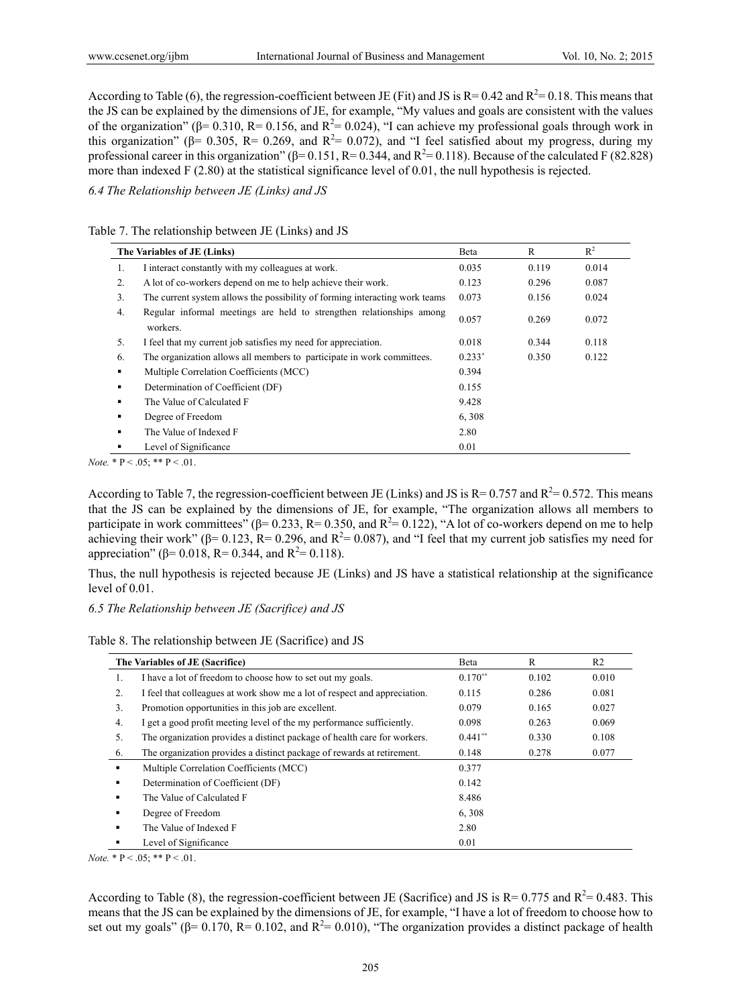According to Table (6), the regression-coefficient between JE (Fit) and JS is  $R = 0.42$  and  $R^2 = 0.18$ . This means that the JS can be explained by the dimensions of JE, for example, "My values and goals are consistent with the values of the organization" ( $\beta$ = 0.310, R= 0.156, and R<sup>2</sup>= 0.024), "I can achieve my professional goals through work in this organization" ( $\beta$ = 0.305, R= 0.269, and R<sup>2</sup>= 0.072), and "I feel satisfied about my progress, during my professional career in this organization" ( $\beta$ = 0.151, R= 0.344, and R<sup>2</sup>= 0.118). Because of the calculated F (82.828) more than indexed F (2.80) at the statistical significance level of 0.01, the null hypothesis is rejected.

*6.4 The Relationship between JE (Links) and JS* 

Table 7. The relationship between JE (Links) and JS

|    | The Variables of JE (Links)                                                      |          | R     | $R^2$ |
|----|----------------------------------------------------------------------------------|----------|-------|-------|
| 1. | I interact constantly with my colleagues at work.                                | 0.035    | 0.119 | 0.014 |
| 2. | A lot of co-workers depend on me to help achieve their work.                     | 0.123    | 0.296 | 0.087 |
| 3. | The current system allows the possibility of forming interacting work teams      | 0.073    | 0.156 | 0.024 |
| 4. | Regular informal meetings are held to strengthen relationships among<br>workers. | 0.057    | 0.269 | 0.072 |
| 5. | I feel that my current job satisfies my need for appreciation.                   | 0.018    | 0.344 | 0.118 |
| 6. | The organization allows all members to participate in work committees.           | $0.233*$ | 0.350 | 0.122 |
| ٠  | Multiple Correlation Coefficients (MCC)                                          | 0.394    |       |       |
| ٠  | Determination of Coefficient (DF)                                                | 0.155    |       |       |
| п  | The Value of Calculated F                                                        | 9.428    |       |       |
| ٠  | Degree of Freedom                                                                | 6,308    |       |       |
| п  | The Value of Indexed F                                                           | 2.80     |       |       |
|    | Level of Significance                                                            | 0.01     |       |       |

*Note.*  $* P < .05$ ;  $* P < .01$ .

According to Table 7, the regression-coefficient between JE (Links) and JS is  $R = 0.757$  and  $R^2 = 0.572$ . This means that the JS can be explained by the dimensions of JE, for example, "The organization allows all members to participate in work committees" ( $\beta$ = 0.233, R= 0.350, and R<sup>2</sup>= 0.122), "A lot of co-workers depend on me to help achieving their work" ( $\beta$ = 0.123, R= 0.296, and R<sup>2</sup>= 0.087), and "I feel that my current job satisfies my need for appreciation" ( $\beta$ = 0.018, R= 0.344, and R<sup>2</sup>= 0.118).

Thus, the null hypothesis is rejected because JE (Links) and JS have a statistical relationship at the significance level of 0.01.

# *6.5 The Relationship between JE (Sacrifice) and JS*

|  |  | Table 8. The relationship between JE (Sacrifice) and JS |  |  |  |
|--|--|---------------------------------------------------------|--|--|--|
|--|--|---------------------------------------------------------|--|--|--|

|    | The Variables of JE (Sacrifice)                                           | Beta      | R     | R <sub>2</sub> |
|----|---------------------------------------------------------------------------|-----------|-------|----------------|
| 1. | I have a lot of freedom to choose how to set out my goals.                | $0.170**$ | 0.102 | 0.010          |
| 2. | I feel that colleagues at work show me a lot of respect and appreciation. | 0.115     | 0.286 | 0.081          |
| 3. | Promotion opportunities in this job are excellent.                        | 0.079     | 0.165 | 0.027          |
| 4. | I get a good profit meeting level of the my performance sufficiently.     | 0.098     | 0.263 | 0.069          |
| 5. | The organization provides a distinct package of health care for workers.  | $0.441**$ | 0.330 | 0.108          |
| 6. | The organization provides a distinct package of rewards at retirement.    | 0.148     | 0.278 | 0.077          |
| ٠  | Multiple Correlation Coefficients (MCC)                                   | 0.377     |       |                |
| ٠  | Determination of Coefficient (DF)                                         | 0.142     |       |                |
| ٠  | The Value of Calculated F                                                 | 8.486     |       |                |
|    | Degree of Freedom                                                         | 6,308     |       |                |
| ٠  | The Value of Indexed F                                                    | 2.80      |       |                |
|    | Level of Significance                                                     | 0.01      |       |                |

*Note.*  $* \, P < .05; ** P < .01$ .

According to Table (8), the regression-coefficient between JE (Sacrifice) and JS is  $R = 0.775$  and  $R^2 = 0.483$ . This means that the JS can be explained by the dimensions of JE, for example, "I have a lot of freedom to choose how to set out my goals" ( $\beta$ = 0.170, R= 0.102, and R<sup>2</sup>= 0.010), "The organization provides a distinct package of health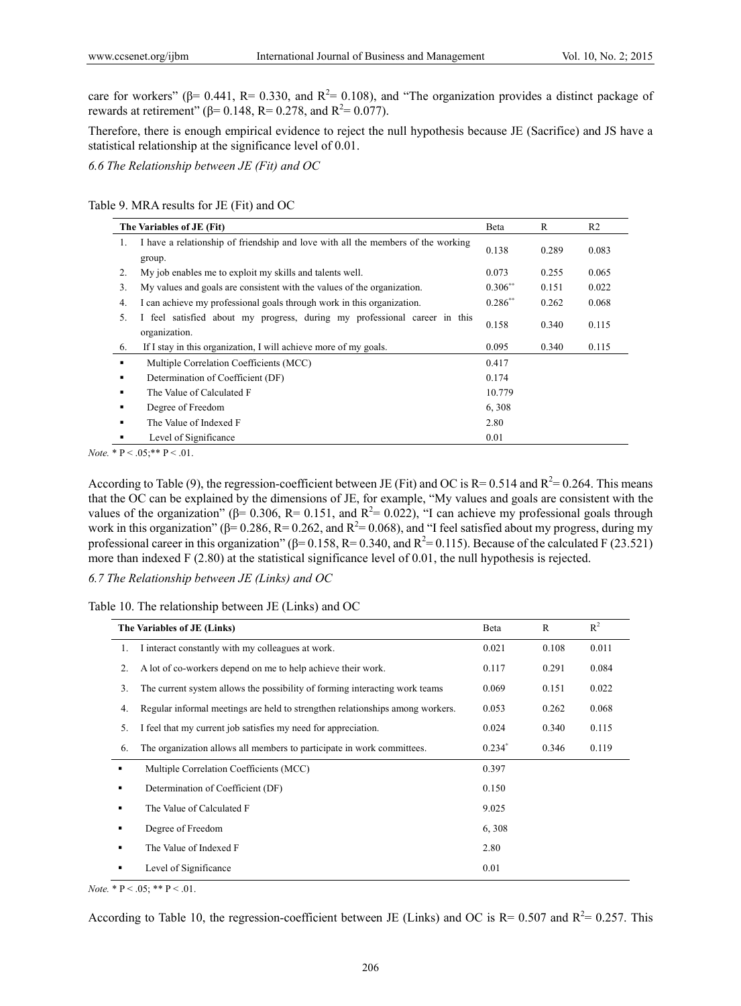care for workers" ( $\beta$ = 0.441, R= 0.330, and R<sup>2</sup>= 0.108), and "The organization provides a distinct package of rewards at retirement" (β= 0.148, R= 0.278, and R<sup>2</sup>= 0.077).

Therefore, there is enough empirical evidence to reject the null hypothesis because JE (Sacrifice) and JS have a statistical relationship at the significance level of 0.01.

*6.6 The Relationship between JE (Fit) and OC* 

Table 9. MRA results for JE (Fit) and OC

|     | The Variables of JE (Fit)                                                                  | Beta      | R     | R <sub>2</sub> |
|-----|--------------------------------------------------------------------------------------------|-----------|-------|----------------|
| 1.  | I have a relationship of friendship and love with all the members of the working<br>group. | 0.138     | 0.289 | 0.083          |
| 2.  | My job enables me to exploit my skills and talents well.                                   | 0.073     | 0.255 | 0.065          |
| 3.  | My values and goals are consistent with the values of the organization.                    | $0.306**$ | 0.151 | 0.022          |
| 4.  | I can achieve my professional goals through work in this organization.                     | $0.286**$ | 0.262 | 0.068          |
| .5. | feel satisfied about my progress, during my professional career in this<br>organization.   | 0.158     | 0.340 | 0.115          |
| 6.  | If I stay in this organization, I will achieve more of my goals.                           | 0.095     | 0.340 | 0.115          |
| ٠   | Multiple Correlation Coefficients (MCC)                                                    | 0.417     |       |                |
| ٠   | Determination of Coefficient (DF)                                                          | 0.174     |       |                |
| ٠   | The Value of Calculated F                                                                  | 10.779    |       |                |
| ٠   | Degree of Freedom                                                                          | 6,308     |       |                |
| ٠   | The Value of Indexed F                                                                     | 2.80      |       |                |
|     | Level of Significance                                                                      | 0.01      |       |                |

*Note.*  $* P < .05; ** P < .01$ .

According to Table (9), the regression-coefficient between JE (Fit) and OC is  $R = 0.514$  and  $R^2 = 0.264$ . This means that the OC can be explained by the dimensions of JE, for example, "My values and goals are consistent with the values of the organization" ( $\beta$ = 0.306, R= 0.151, and R<sup>2</sup>= 0.022), "I can achieve my professional goals through work in this organization" ( $\beta$ = 0.286, R= 0.262, and R<sup>2</sup>= 0.068), and "I feel satisfied about my progress, during my professional career in this organization" ( $\beta$ = 0.158, R= 0.340, and R<sup>2</sup>= 0.115). Because of the calculated F (23.521) more than indexed F (2.80) at the statistical significance level of 0.01, the null hypothesis is rejected.

*6.7 The Relationship between JE (Links) and OC* 

Table 10. The relationship between JE (Links) and OC

| The Variables of JE (Links) |                                                                               | Beta     | $\mathbb{R}$ | $R^2$ |
|-----------------------------|-------------------------------------------------------------------------------|----------|--------------|-------|
| 1.                          | I interact constantly with my colleagues at work.                             | 0.021    | 0.108        | 0.011 |
| 2.                          | A lot of co-workers depend on me to help achieve their work.                  | 0.117    | 0.291        | 0.084 |
| 3.                          | The current system allows the possibility of forming interacting work teams   | 0.069    | 0.151        | 0.022 |
| 4.                          | Regular informal meetings are held to strengthen relationships among workers. | 0.053    | 0.262        | 0.068 |
| 5.                          | I feel that my current job satisfies my need for appreciation.                | 0.024    | 0.340        | 0.115 |
| 6.                          | The organization allows all members to participate in work committees.        | $0.234*$ | 0.346        | 0.119 |
| ٠                           | Multiple Correlation Coefficients (MCC)                                       | 0.397    |              |       |
| ٠                           | Determination of Coefficient (DF)                                             | 0.150    |              |       |
| ٠                           | The Value of Calculated F                                                     | 9.025    |              |       |
|                             | Degree of Freedom                                                             | 6,308    |              |       |
| ٠                           | The Value of Indexed F                                                        | 2.80     |              |       |
|                             | Level of Significance                                                         | 0.01     |              |       |

*Note.*  $* \, P < .05; ** P < .01$ .

According to Table 10, the regression-coefficient between JE (Links) and OC is  $R = 0.507$  and  $R^2 = 0.257$ . This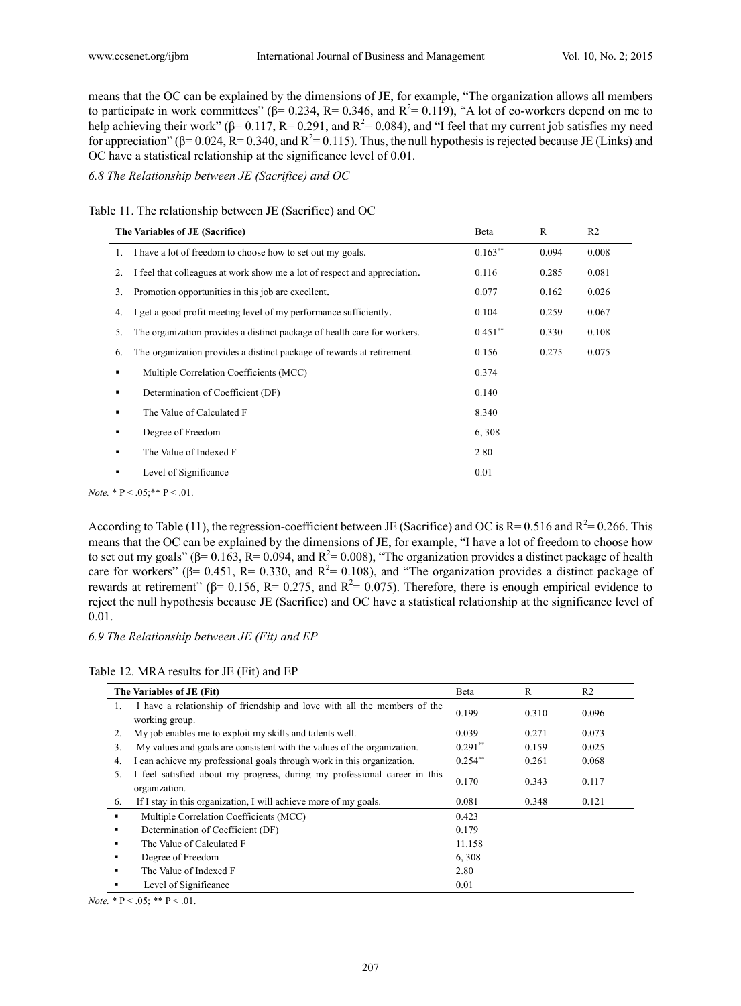means that the OC can be explained by the dimensions of JE, for example, "The organization allows all members to participate in work committees" ( $\beta$ = 0.234, R= 0.346, and R<sup>2</sup>= 0.119), "A lot of co-workers depend on me to help achieving their work" ( $\beta$ = 0.117, R= 0.291, and R<sup>2</sup>= 0.084), and "I feel that my current job satisfies my need for appreciation" (β= 0.024, R= 0.340, and R<sup>2</sup>= 0.115). Thus, the null hypothesis is rejected because JE (Links) and OC have a statistical relationship at the significance level of 0.01.

*6.8 The Relationship between JE (Sacrifice) and OC* 

Table 11. The relationship between JE (Sacrifice) and OC

|         | The Variables of JE (Sacrifice)                                           |           | R     | R <sub>2</sub> |
|---------|---------------------------------------------------------------------------|-----------|-------|----------------|
| 1.      | I have a lot of freedom to choose how to set out my goals.                | $0.163**$ | 0.094 | 0.008          |
| $2_{-}$ | I feel that colleagues at work show me a lot of respect and appreciation. | 0.116     | 0.285 | 0.081          |
| 3.      | Promotion opportunities in this job are excellent.                        | 0.077     | 0.162 | 0.026          |
| 4.      | I get a good profit meeting level of my performance sufficiently.         | 0.104     | 0.259 | 0.067          |
| 5.      | The organization provides a distinct package of health care for workers.  | $0.451**$ | 0.330 | 0.108          |
| 6.      | The organization provides a distinct package of rewards at retirement.    | 0.156     | 0.275 | 0.075          |
| ٠       | Multiple Correlation Coefficients (MCC)                                   | 0.374     |       |                |
| ٠       | Determination of Coefficient (DF)                                         | 0.140     |       |                |
| ٠       | The Value of Calculated F                                                 | 8.340     |       |                |
| ٠       | Degree of Freedom                                                         | 6,308     |       |                |
| ٠       | The Value of Indexed F                                                    | 2.80      |       |                |
|         | Level of Significance                                                     | 0.01      |       |                |

*Note.*  $* P < .05; ** P < .01$ .

According to Table (11), the regression-coefficient between JE (Sacrifice) and OC is  $R = 0.516$  and  $R^2 = 0.266$ . This means that the OC can be explained by the dimensions of JE, for example, "I have a lot of freedom to choose how to set out my goals" ( $\beta$ = 0.163, R= 0.094, and R<sup>2</sup>= 0.008), "The organization provides a distinct package of health care for workers" ( $\beta$ = 0.451, R= 0.330, and R<sup>2</sup>= 0.108), and "The organization provides a distinct package of rewards at retirement" ( $β = 0.156$ ,  $R = 0.275$ , and  $R<sup>2</sup> = 0.075$ ). Therefore, there is enough empirical evidence to reject the null hypothesis because JE (Sacrifice) and OC have a statistical relationship at the significance level of 0.01.

#### *6.9 The Relationship between JE (Fit) and EP*

Table 12. MRA results for JE (Fit) and EP

|     | The Variables of JE (Fit)                                                                  |           | R     | R <sub>2</sub> |
|-----|--------------------------------------------------------------------------------------------|-----------|-------|----------------|
| 1.  | I have a relationship of friendship and love with all the members of the<br>working group. | 0.199     | 0.310 | 0.096          |
| 2.  | My job enables me to exploit my skills and talents well.                                   | 0.039     | 0.271 | 0.073          |
| 3.  | My values and goals are consistent with the values of the organization.                    | $0.291**$ | 0.159 | 0.025          |
| 4.  | I can achieve my professional goals through work in this organization.                     | $0.254**$ | 0.261 | 0.068          |
| .5. | I feel satisfied about my progress, during my professional career in this<br>organization. | 0.170     | 0.343 | 0.117          |
| 6.  | If I stay in this organization, I will achieve more of my goals.                           | 0.081     | 0.348 | 0.121          |
| ٠   | Multiple Correlation Coefficients (MCC)                                                    | 0.423     |       |                |
| ٠   | Determination of Coefficient (DF)                                                          | 0.179     |       |                |
| ٠   | The Value of Calculated F                                                                  | 11.158    |       |                |
| ٠   | Degree of Freedom                                                                          | 6,308     |       |                |
| ٠   | The Value of Indexed F                                                                     | 2.80      |       |                |
| ٠   | Level of Significance                                                                      | 0.01      |       |                |

*Note.*  $* P < .05; ** P < .01$ .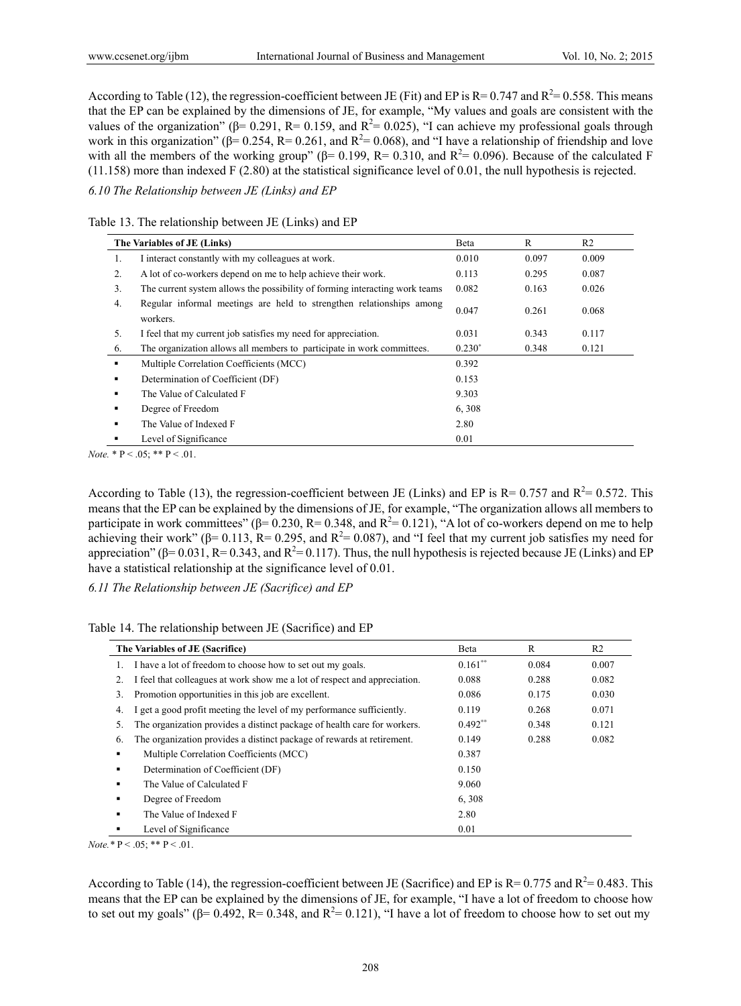According to Table (12), the regression-coefficient between JE (Fit) and EP is  $R = 0.747$  and  $R^2 = 0.558$ . This means that the EP can be explained by the dimensions of JE, for example, "My values and goals are consistent with the values of the organization" ( $\beta$ = 0.291, R= 0.159, and R<sup>2</sup>= 0.025), "I can achieve my professional goals through work in this organization" ( $\beta$ = 0.254, R= 0.261, and R<sup>2</sup>= 0.068), and "I have a relationship of friendship and love with all the members of the working group" ( $\beta$ = 0.199, R= 0.310, and R<sup>2</sup>= 0.096). Because of the calculated F (11.158) more than indexed F (2.80) at the statistical significance level of 0.01, the null hypothesis is rejected.

*6.10 The Relationship between JE (Links) and EP* 

Table 13. The relationship between JE (Links) and EP

| The Variables of JE (Links) |                                                                                  | Beta     | R     | R <sub>2</sub> |
|-----------------------------|----------------------------------------------------------------------------------|----------|-------|----------------|
| 1.                          | I interact constantly with my colleagues at work.                                | 0.010    | 0.097 | 0.009          |
| 2.                          | A lot of co-workers depend on me to help achieve their work.                     | 0.113    | 0.295 | 0.087          |
| 3.                          | The current system allows the possibility of forming interacting work teams      | 0.082    | 0.163 | 0.026          |
| 4.                          | Regular informal meetings are held to strengthen relationships among<br>workers. | 0.047    | 0.261 | 0.068          |
| 5.                          | I feel that my current job satisfies my need for appreciation.                   | 0.031    | 0.343 | 0.117          |
| 6.                          | The organization allows all members to participate in work committees.           | $0.230*$ | 0.348 | 0.121          |
| ٠                           | Multiple Correlation Coefficients (MCC)                                          | 0.392    |       |                |
| ٠                           | Determination of Coefficient (DF)                                                | 0.153    |       |                |
|                             | The Value of Calculated F                                                        | 9.303    |       |                |
| ٠                           | Degree of Freedom                                                                | 6,308    |       |                |
| ٠                           | The Value of Indexed F                                                           | 2.80     |       |                |
|                             | Level of Significance                                                            | 0.01     |       |                |

*Note.*  $* \, P < .05; \, * \, P < .01.$ 

According to Table (13), the regression-coefficient between JE (Links) and EP is  $R = 0.757$  and  $R^2 = 0.572$ . This means that the EP can be explained by the dimensions of JE, for example, "The organization allows all members to participate in work committees" ( $\beta$ = 0.230, R= 0.348, and R<sup>2</sup>= 0.121), "A lot of co-workers depend on me to help achieving their work" ( $\beta$ = 0.113, R= 0.295, and R<sup>2</sup>= 0.087), and "I feel that my current job satisfies my need for appreciation" ( $\beta$ = 0.031, R= 0.343, and R<sup>2</sup>= 0.117). Thus, the null hypothesis is rejected because JE (Links) and EP have a statistical relationship at the significance level of 0.01.

*6.11 The Relationship between JE (Sacrifice) and EP* 

| Table 14. The relationship between JE (Sacrifice) and EP |  |  |  |
|----------------------------------------------------------|--|--|--|
|----------------------------------------------------------|--|--|--|

|    | The Variables of JE (Sacrifice)                                           |           | R     | R <sub>2</sub> |
|----|---------------------------------------------------------------------------|-----------|-------|----------------|
| 1. | I have a lot of freedom to choose how to set out my goals.                | $0.161**$ | 0.084 | 0.007          |
| 2. | I feel that colleagues at work show me a lot of respect and appreciation. | 0.088     | 0.288 | 0.082          |
| 3. | Promotion opportunities in this job are excellent.                        | 0.086     | 0.175 | 0.030          |
| 4. | get a good profit meeting the level of my performance sufficiently.       | 0.119     | 0.268 | 0.071          |
| 5. | The organization provides a distinct package of health care for workers.  | $0.492**$ | 0.348 | 0.121          |
| 6. | The organization provides a distinct package of rewards at retirement.    | 0.149     | 0.288 | 0.082          |
|    | Multiple Correlation Coefficients (MCC)                                   | 0.387     |       |                |
|    | Determination of Coefficient (DF)                                         | 0.150     |       |                |
| ٠  | The Value of Calculated F                                                 | 9.060     |       |                |
|    | Degree of Freedom                                                         | 6,308     |       |                |
| ٠  | The Value of Indexed F                                                    | 2.80      |       |                |
|    | Level of Significance                                                     | 0.01      |       |                |

*Note.* \*  $P < .05$ ; \* \*  $P < .01$ .

According to Table (14), the regression-coefficient between JE (Sacrifice) and EP is  $R = 0.775$  and  $R^2 = 0.483$ . This means that the EP can be explained by the dimensions of JE, for example, "I have a lot of freedom to choose how to set out my goals" ( $\beta$ = 0.492, R= 0.348, and R<sup>2</sup>= 0.121), "I have a lot of freedom to choose how to set out my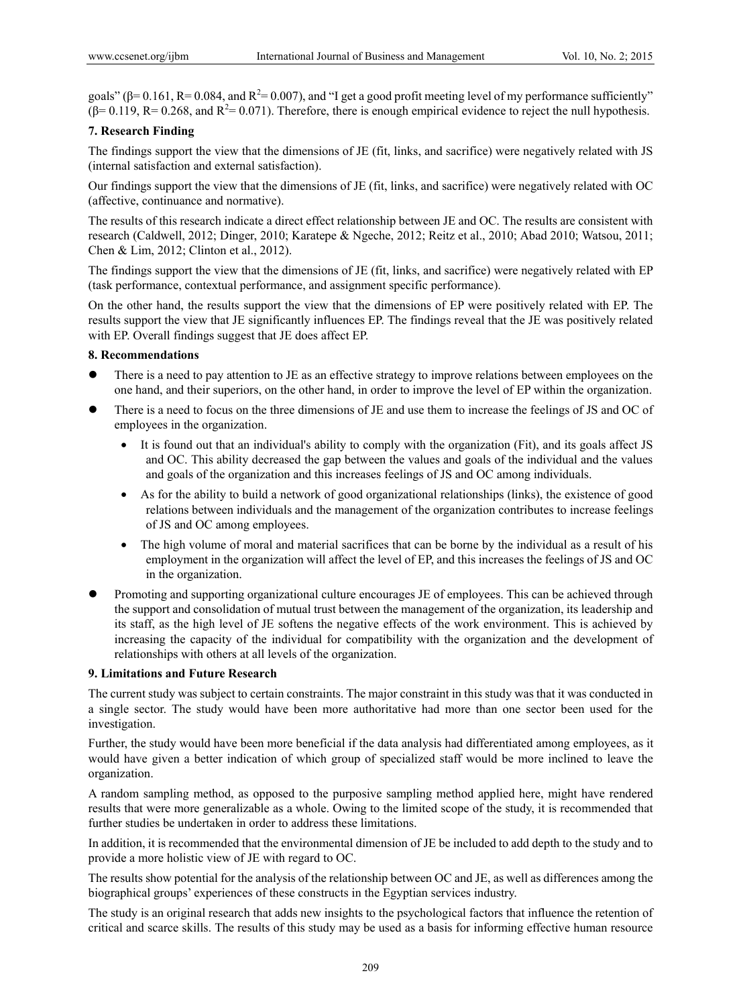goals" ( $\beta$ = 0.161, R= 0.084, and R<sup>2</sup>= 0.007), and "I get a good profit meeting level of my performance sufficiently"  $(\beta = 0.119, R = 0.268, \text{ and } R^2 = 0.071)$ . Therefore, there is enough empirical evidence to reject the null hypothesis.

# **7. Research Finding**

The findings support the view that the dimensions of JE (fit, links, and sacrifice) were negatively related with JS (internal satisfaction and external satisfaction).

Our findings support the view that the dimensions of JE (fit, links, and sacrifice) were negatively related with OC (affective, continuance and normative).

The results of this research indicate a direct effect relationship between JE and OC. The results are consistent with research (Caldwell, 2012; Dinger, 2010; Karatepe & Ngeche, 2012; Reitz et al., 2010; Abad 2010; Watsou, 2011; Chen & Lim, 2012; Clinton et al., 2012).

The findings support the view that the dimensions of JE (fit, links, and sacrifice) were negatively related with EP (task performance, contextual performance, and assignment specific performance).

On the other hand, the results support the view that the dimensions of EP were positively related with EP. The results support the view that JE significantly influences EP. The findings reveal that the JE was positively related with EP. Overall findings suggest that JE does affect EP.

#### **8. Recommendations**

- There is a need to pay attention to JE as an effective strategy to improve relations between employees on the one hand, and their superiors, on the other hand, in order to improve the level of EP within the organization.
- There is a need to focus on the three dimensions of JE and use them to increase the feelings of JS and OC of employees in the organization.
	- It is found out that an individual's ability to comply with the organization (Fit), and its goals affect JS and OC. This ability decreased the gap between the values and goals of the individual and the values and goals of the organization and this increases feelings of JS and OC among individuals.
	- As for the ability to build a network of good organizational relationships (links), the existence of good relations between individuals and the management of the organization contributes to increase feelings of JS and OC among employees.
	- The high volume of moral and material sacrifices that can be borne by the individual as a result of his employment in the organization will affect the level of EP, and this increases the feelings of JS and OC in the organization.
- Promoting and supporting organizational culture encourages JE of employees. This can be achieved through the support and consolidation of mutual trust between the management of the organization, its leadership and its staff, as the high level of JE softens the negative effects of the work environment. This is achieved by increasing the capacity of the individual for compatibility with the organization and the development of relationships with others at all levels of the organization.

# **9. Limitations and Future Research**

The current study was subject to certain constraints. The major constraint in this study was that it was conducted in a single sector. The study would have been more authoritative had more than one sector been used for the investigation.

Further, the study would have been more beneficial if the data analysis had differentiated among employees, as it would have given a better indication of which group of specialized staff would be more inclined to leave the organization.

A random sampling method, as opposed to the purposive sampling method applied here, might have rendered results that were more generalizable as a whole. Owing to the limited scope of the study, it is recommended that further studies be undertaken in order to address these limitations.

In addition, it is recommended that the environmental dimension of JE be included to add depth to the study and to provide a more holistic view of JE with regard to OC.

The results show potential for the analysis of the relationship between OC and JE, as well as differences among the biographical groups' experiences of these constructs in the Egyptian services industry.

The study is an original research that adds new insights to the psychological factors that influence the retention of critical and scarce skills. The results of this study may be used as a basis for informing effective human resource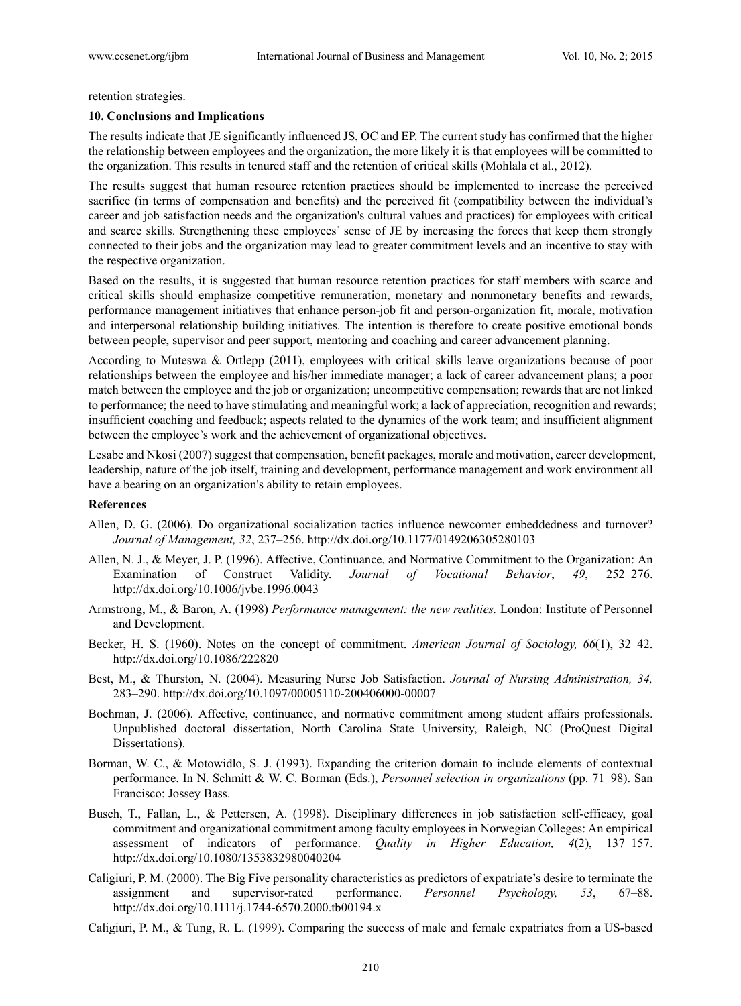retention strategies.

#### **10. Conclusions and Implications**

The results indicate that JE significantly influenced JS, OC and EP. The current study has confirmed that the higher the relationship between employees and the organization, the more likely it is that employees will be committed to the organization. This results in tenured staff and the retention of critical skills (Mohlala et al., 2012).

The results suggest that human resource retention practices should be implemented to increase the perceived sacrifice (in terms of compensation and benefits) and the perceived fit (compatibility between the individual's career and job satisfaction needs and the organization's cultural values and practices) for employees with critical and scarce skills. Strengthening these employees' sense of JE by increasing the forces that keep them strongly connected to their jobs and the organization may lead to greater commitment levels and an incentive to stay with the respective organization.

Based on the results, it is suggested that human resource retention practices for staff members with scarce and critical skills should emphasize competitive remuneration, monetary and nonmonetary benefits and rewards, performance management initiatives that enhance person-job fit and person-organization fit, morale, motivation and interpersonal relationship building initiatives. The intention is therefore to create positive emotional bonds between people, supervisor and peer support, mentoring and coaching and career advancement planning.

According to Muteswa & Ortlepp (2011), employees with critical skills leave organizations because of poor relationships between the employee and his/her immediate manager; a lack of career advancement plans; a poor match between the employee and the job or organization; uncompetitive compensation; rewards that are not linked to performance; the need to have stimulating and meaningful work; a lack of appreciation, recognition and rewards; insufficient coaching and feedback; aspects related to the dynamics of the work team; and insufficient alignment between the employee's work and the achievement of organizational objectives.

Lesabe and Nkosi (2007) suggest that compensation, benefit packages, morale and motivation, career development, leadership, nature of the job itself, training and development, performance management and work environment all have a bearing on an organization's ability to retain employees.

# **References**

- Allen, D. G. (2006). Do organizational socialization tactics influence newcomer embeddedness and turnover? *Journal of Management, 32*, 237–256. http://dx.doi.org/10.1177/0149206305280103
- Allen, N. J., & Meyer, J. P. (1996). Affective, Continuance, and Normative Commitment to the Organization: An Examination of Construct Validity. *Journal of Vocational Behavior*, *49*, 252–276. http://dx.doi.org/10.1006/jvbe.1996.0043
- Armstrong, M., & Baron, A. (1998) *Performance management: the new realities.* London: Institute of Personnel and Development.
- Becker, H. S. (1960). Notes on the concept of commitment. *American Journal of Sociology, 66*(1), 32–42. http://dx.doi.org/10.1086/222820
- Best, M., & Thurston, N. (2004). Measuring Nurse Job Satisfaction. *Journal of Nursing Administration, 34,* 283–290. http://dx.doi.org/10.1097/00005110-200406000-00007
- Boehman, J. (2006). Affective, continuance, and normative commitment among student affairs professionals. Unpublished doctoral dissertation, North Carolina State University, Raleigh, NC (ProQuest Digital Dissertations).
- Borman, W. C., & Motowidlo, S. J. (1993). Expanding the criterion domain to include elements of contextual performance. In N. Schmitt & W. C. Borman (Eds.), *Personnel selection in organizations* (pp. 71–98). San Francisco: Jossey Bass.
- Busch, T., Fallan, L., & Pettersen, A. (1998). Disciplinary differences in job satisfaction self-efficacy, goal commitment and organizational commitment among faculty employees in Norwegian Colleges: An empirical assessment of indicators of performance. *Quality in Higher Education, 4*(2), 137–157. http://dx.doi.org/10.1080/1353832980040204
- Caligiuri, P. M. (2000). The Big Five personality characteristics as predictors of expatriate's desire to terminate the assignment and supervisor-rated performance. *Personnel Psychology, 53*, 67–88. http://dx.doi.org/10.1111/j.1744-6570.2000.tb00194.x
- Caligiuri, P. M., & Tung, R. L. (1999). Comparing the success of male and female expatriates from a US-based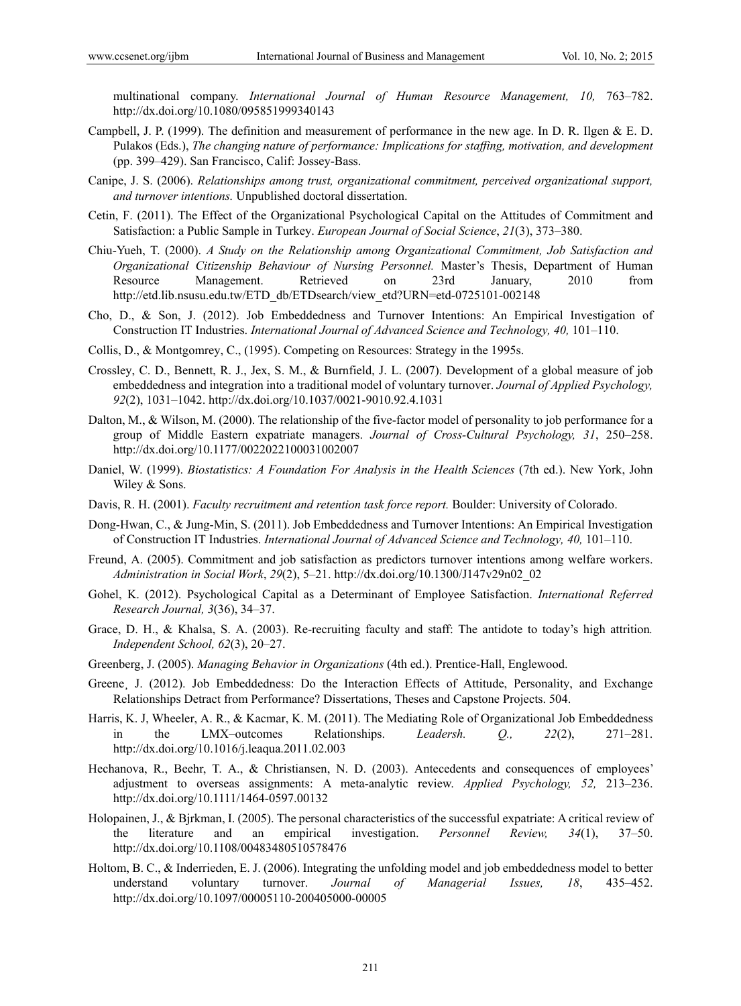multinational company. *International Journal of Human Resource Management, 10,* 763–782. http://dx.doi.org/10.1080/095851999340143

- Campbell, J. P. (1999). The definition and measurement of performance in the new age. In D. R. Ilgen & E. D. Pulakos (Eds.), *The changing nature of performance: Implications for staffing, motivation, and development*  (pp. 399–429). San Francisco, Calif: Jossey-Bass.
- Canipe, J. S. (2006). *Relationships among trust, organizational commitment, perceived organizational support, and turnover intentions.* Unpublished doctoral dissertation.
- Cetin, F. (2011). The Effect of the Organizational Psychological Capital on the Attitudes of Commitment and Satisfaction: a Public Sample in Turkey. *European Journal of Social Science*, *21*(3), 373–380.
- Chiu-Yueh, T. (2000). *A Study on the Relationship among Organizational Commitment, Job Satisfaction and Organizational Citizenship Behaviour of Nursing Personnel.* Master's Thesis, Department of Human Resource Management. Retrieved on 23rd January, 2010 from http://etd.lib.nsusu.edu.tw/ETD\_db/ETDsearch/view\_etd?URN=etd-0725101-002148
- Cho, D., & Son, J. (2012). Job Embeddedness and Turnover Intentions: An Empirical Investigation of Construction IT Industries. *International Journal of Advanced Science and Technology, 40,* 101–110.
- Collis, D., & Montgomrey, C., (1995). Competing on Resources: Strategy in the 1995s.
- Crossley, C. D., Bennett, R. J., Jex, S. M., & Burnfield, J. L. (2007). Development of a global measure of job embeddedness and integration into a traditional model of voluntary turnover. *Journal of Applied Psychology, 92*(2), 1031–1042. http://dx.doi.org/10.1037/0021-9010.92.4.1031
- Dalton, M., & Wilson, M. (2000). The relationship of the five-factor model of personality to job performance for a group of Middle Eastern expatriate managers. *Journal of Cross-Cultural Psychology, 31*, 250–258. http://dx.doi.org/10.1177/0022022100031002007
- Daniel, W. (1999). *Biostatistics: A Foundation For Analysis in the Health Sciences* (7th ed.). New York, John Wiley & Sons.
- Davis, R. H. (2001). *Faculty recruitment and retention task force report.* Boulder: University of Colorado.
- Dong-Hwan, C., & Jung-Min, S. (2011). Job Embeddedness and Turnover Intentions: An Empirical Investigation of Construction IT Industries. *International Journal of Advanced Science and Technology, 40,* 101–110.
- Freund, A. (2005). Commitment and job satisfaction as predictors turnover intentions among welfare workers. *Administration in Social Work*, *29*(2), 5–21. http://dx.doi.org/10.1300/J147v29n02\_02
- Gohel, K. (2012). Psychological Capital as a Determinant of Employee Satisfaction. *International Referred Research Journal, 3*(36), 34–37.
- Grace, D. H., & Khalsa, S. A. (2003). Re-recruiting faculty and staff: The antidote to today's high attrition*. Independent School, 62*(3), 20–27.
- Greenberg, J. (2005). *Managing Behavior in Organizations* (4th ed.). Prentice-Hall, Englewood.
- Greene, J. (2012). Job Embeddedness: Do the Interaction Effects of Attitude, Personality, and Exchange Relationships Detract from Performance? Dissertations, Theses and Capstone Projects. 504.
- Harris, K. J, Wheeler, A. R., & Kacmar, K. M. (2011). The Mediating Role of Organizational Job Embeddedness in the LMX–outcomes Relationships. *Leadersh. Q., 22*(2), 271–281. http://dx.doi.org/10.1016/j.leaqua.2011.02.003
- Hechanova, R., Beehr, T. A., & Christiansen, N. D. (2003). Antecedents and consequences of employees' adjustment to overseas assignments: A meta-analytic review. *Applied Psychology, 52,* 213–236. http://dx.doi.org/10.1111/1464-0597.00132
- Holopainen, J., & Bjِrkman, I. (2005). The personal characteristics of the successful expatriate: A critical review of the literature and an empirical investigation. *Personnel Review, 34*(1), 37–50. http://dx.doi.org/10.1108/00483480510578476
- Holtom, B. C., & Inderrieden, E. J. (2006). Integrating the unfolding model and job embeddedness model to better understand voluntary turnover. *Journal of Managerial Issues, 18*, 435–452. http://dx.doi.org/10.1097/00005110-200405000-00005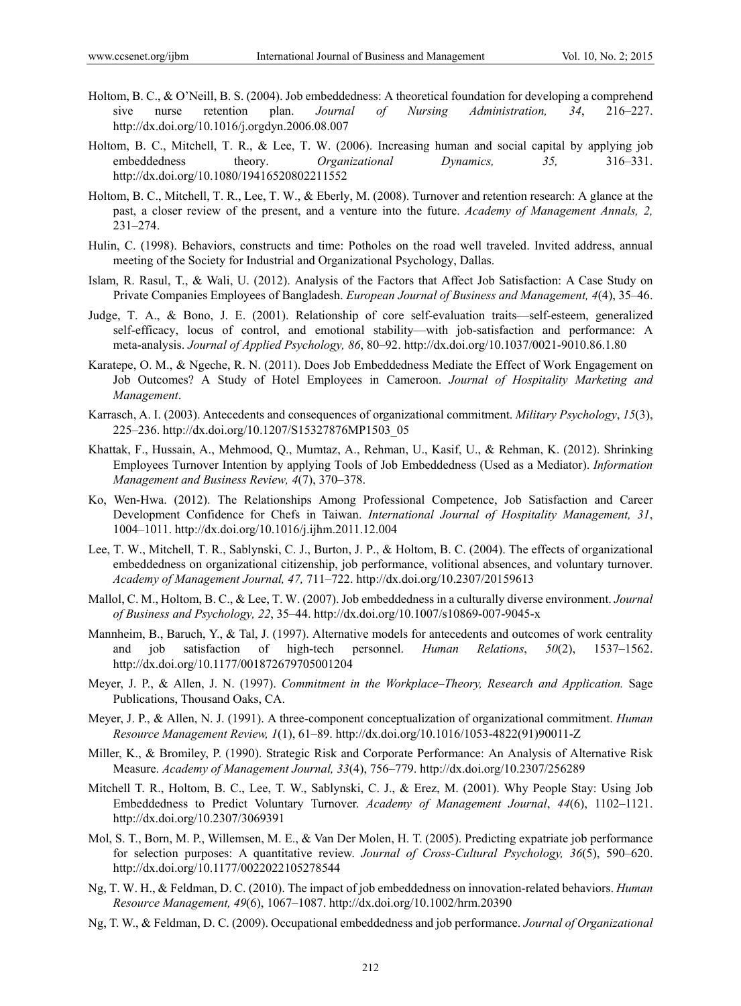- Holtom, B. C., & O'Neill, B. S. (2004). Job embeddedness: A theoretical foundation for developing a comprehend sive nurse retention plan. *Journal of Nursing Administration, 34*, 216–227. http://dx.doi.org/10.1016/j.orgdyn.2006.08.007
- Holtom, B. C., Mitchell, T. R., & Lee, T. W. (2006). Increasing human and social capital by applying job embeddedness theory. *Organizational Dynamics, 35,* 316–331. http://dx.doi.org/10.1080/19416520802211552
- Holtom, B. C., Mitchell, T. R., Lee, T. W., & Eberly, M. (2008). Turnover and retention research: A glance at the past, a closer review of the present, and a venture into the future. *Academy of Management Annals, 2,* 231–274.
- Hulin, C. (1998). Behaviors, constructs and time: Potholes on the road well traveled. Invited address, annual meeting of the Society for Industrial and Organizational Psychology, Dallas.
- Islam, R. Rasul, T., & Wali, U. (2012). Analysis of the Factors that Affect Job Satisfaction: A Case Study on Private Companies Employees of Bangladesh. *European Journal of Business and Management, 4*(4), 35–46.
- Judge, T. A., & Bono, J. E. (2001). Relationship of core self-evaluation traits—self-esteem, generalized self-efficacy, locus of control, and emotional stability—with job-satisfaction and performance: A meta-analysis. *Journal of Applied Psychology, 86*, 80–92. http://dx.doi.org/10.1037/0021-9010.86.1.80
- Karatepe, O. M., & Ngeche, R. N. (2011). Does Job Embeddedness Mediate the Effect of Work Engagement on Job Outcomes? A Study of Hotel Employees in Cameroon. *Journal of Hospitality Marketing and Management*.
- Karrasch, A. I. (2003). Antecedents and consequences of organizational commitment. *Military Psychology*, *15*(3), 225–236. http://dx.doi.org/10.1207/S15327876MP1503\_05
- Khattak, F., Hussain, A., Mehmood, Q., Mumtaz, A., Rehman, U., Kasif, U., & Rehman, K. (2012). Shrinking Employees Turnover Intention by applying Tools of Job Embeddedness (Used as a Mediator). *Information Management and Business Review, 4*(7), 370–378.
- Ko, Wen-Hwa. (2012). The Relationships Among Professional Competence, Job Satisfaction and Career Development Confidence for Chefs in Taiwan. *International Journal of Hospitality Management, 31*, 1004–1011. http://dx.doi.org/10.1016/j.ijhm.2011.12.004
- Lee, T. W., Mitchell, T. R., Sablynski, C. J., Burton, J. P., & Holtom, B. C. (2004). The effects of organizational embeddedness on organizational citizenship, job performance, volitional absences, and voluntary turnover. *Academy of Management Journal, 47,* 711–722. http://dx.doi.org/10.2307/20159613
- Mallol, C. M., Holtom, B. C., & Lee, T. W. (2007). Job embeddedness in a culturally diverse environment. *Journal of Business and Psychology, 22*, 35–44. http://dx.doi.org/10.1007/s10869-007-9045-x
- Mannheim, B., Baruch, Y., & Tal, J. (1997). Alternative models for antecedents and outcomes of work centrality and job satisfaction of high-tech personnel. *Human Relations*, *50*(2), 1537–1562. http://dx.doi.org/10.1177/001872679705001204
- Meyer, J. P., & Allen, J. N. (1997). *Commitment in the Workplace–Theory, Research and Application.* Sage Publications, Thousand Oaks, CA.
- Meyer, J. P., & Allen, N. J. (1991). A three-component conceptualization of organizational commitment. *Human Resource Management Review, 1*(1), 61–89. http://dx.doi.org/10.1016/1053-4822(91)90011-Z
- Miller, K., & Bromiley, P. (1990). Strategic Risk and Corporate Performance: An Analysis of Alternative Risk Measure. *Academy of Management Journal, 33*(4), 756–779. http://dx.doi.org/10.2307/256289
- Mitchell T. R., Holtom, B. C., Lee, T. W., Sablynski, C. J., & Erez, M. (2001). Why People Stay: Using Job Embeddedness to Predict Voluntary Turnover. *Academy of Management Journal*, *44*(6), 1102–1121. http://dx.doi.org/10.2307/3069391
- Mol, S. T., Born, M. P., Willemsen, M. E., & Van Der Molen, H. T. (2005). Predicting expatriate job performance for selection purposes: A quantitative review. *Journal of Cross-Cultural Psychology, 36*(5), 590–620. http://dx.doi.org/10.1177/0022022105278544
- Ng, T. W. H., & Feldman, D. C. (2010). The impact of job embeddedness on innovation-related behaviors. *Human Resource Management, 49*(6), 1067–1087. http://dx.doi.org/10.1002/hrm.20390
- Ng, T. W., & Feldman, D. C. (2009). Occupational embeddedness and job performance. *Journal of Organizational*